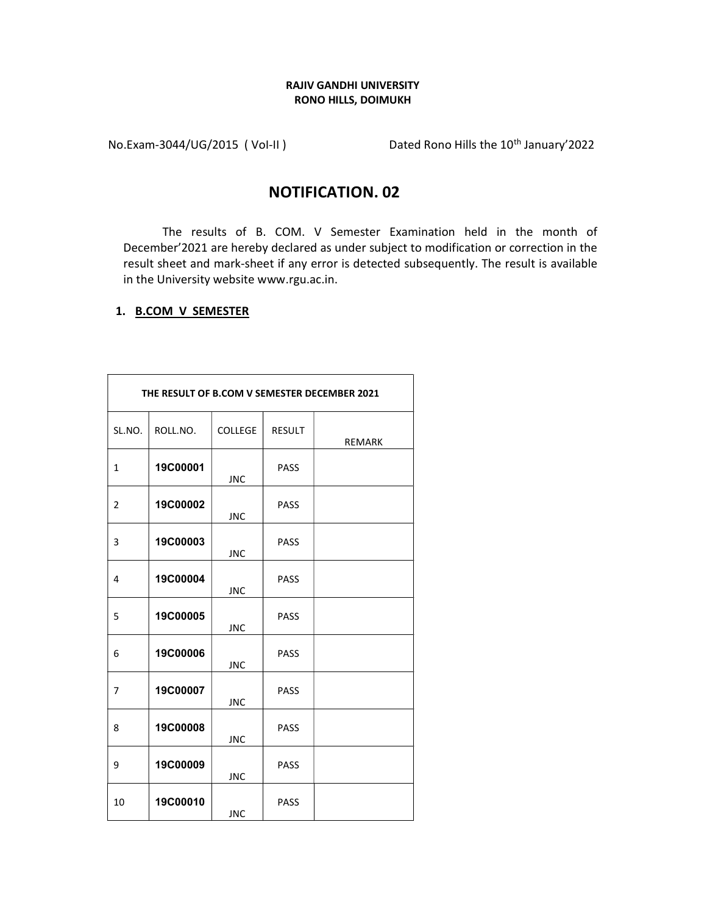## RAJIV GANDHI UNIVERSITY RONO HILLS, DOIMUKH

No.Exam-3044/UG/2015 (Vol-II) Dated Rono Hills the 10<sup>th</sup> January'2022

## NOTIFICATION. 02

The results of B. COM. V Semester Examination held in the month of December'2021 are hereby declared as under subject to modification or correction in the result sheet and mark-sheet if any error is detected subsequently. The result is available in the University website www.rgu.ac.in.

## 1. B.COM V SEMESTER

|              | THE RESULT OF B.COM V SEMESTER DECEMBER 2021 |                |               |               |  |
|--------------|----------------------------------------------|----------------|---------------|---------------|--|
| SL.NO.       | ROLL.NO.                                     | <b>COLLEGE</b> | <b>RESULT</b> | <b>REMARK</b> |  |
| $\mathbf{1}$ | 19C00001                                     | <b>JNC</b>     | <b>PASS</b>   |               |  |
| 2            | 19C00002                                     | <b>JNC</b>     | <b>PASS</b>   |               |  |
| 3            | 19C00003                                     | <b>JNC</b>     | PASS          |               |  |
| 4            | 19C00004                                     | <b>JNC</b>     | PASS          |               |  |
| 5            | <b>19C00005</b>                              | <b>JNC</b>     | PASS          |               |  |
| 6            | <b>19C00006</b>                              | <b>JNC</b>     | PASS          |               |  |
| 7            | 19C00007                                     | <b>JNC</b>     | <b>PASS</b>   |               |  |
| 8            | 19C00008                                     | <b>JNC</b>     | <b>PASS</b>   |               |  |
| 9            | 19C00009                                     | <b>JNC</b>     | PASS          |               |  |
| 10           | 19C00010                                     | <b>JNC</b>     | PASS          |               |  |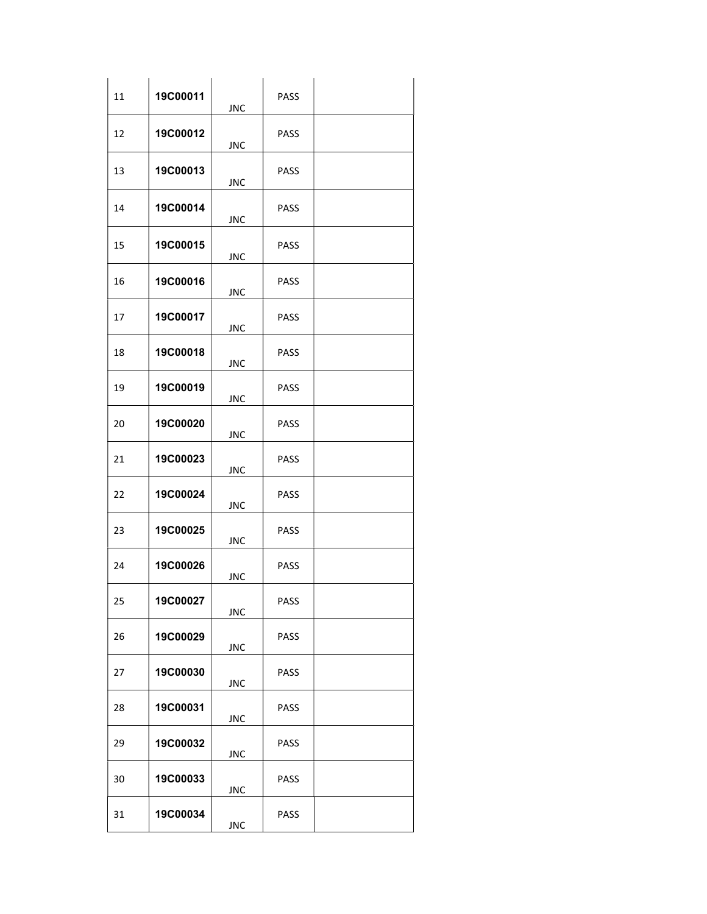| 11 | 19C00011 | <b>JNC</b> | PASS        |  |
|----|----------|------------|-------------|--|
| 12 | 19C00012 | <b>JNC</b> | <b>PASS</b> |  |
| 13 | 19C00013 | <b>JNC</b> | <b>PASS</b> |  |
| 14 | 19C00014 | <b>JNC</b> | <b>PASS</b> |  |
| 15 | 19C00015 | JNC        | <b>PASS</b> |  |
| 16 | 19C00016 | <b>JNC</b> | <b>PASS</b> |  |
| 17 | 19C00017 | <b>JNC</b> | <b>PASS</b> |  |
| 18 | 19C00018 | <b>JNC</b> | <b>PASS</b> |  |
| 19 | 19C00019 | <b>JNC</b> | <b>PASS</b> |  |
| 20 | 19C00020 | JNC        | PASS        |  |
| 21 | 19C00023 | JNC        | <b>PASS</b> |  |
| 22 | 19C00024 | <b>JNC</b> | PASS        |  |
| 23 | 19C00025 | <b>JNC</b> | <b>PASS</b> |  |
| 24 | 19C00026 | <b>JNC</b> | PASS        |  |
| 25 | 19C00027 | <b>JNC</b> | <b>PASS</b> |  |
| 26 | 19C00029 | <b>JNC</b> | PASS        |  |
| 27 | 19C00030 | <b>JNC</b> | PASS        |  |
| 28 | 19C00031 | <b>JNC</b> | PASS        |  |
| 29 | 19C00032 | <b>JNC</b> | PASS        |  |
| 30 | 19C00033 | JNC        | PASS        |  |
| 31 | 19C00034 | <b>JNC</b> | <b>PASS</b> |  |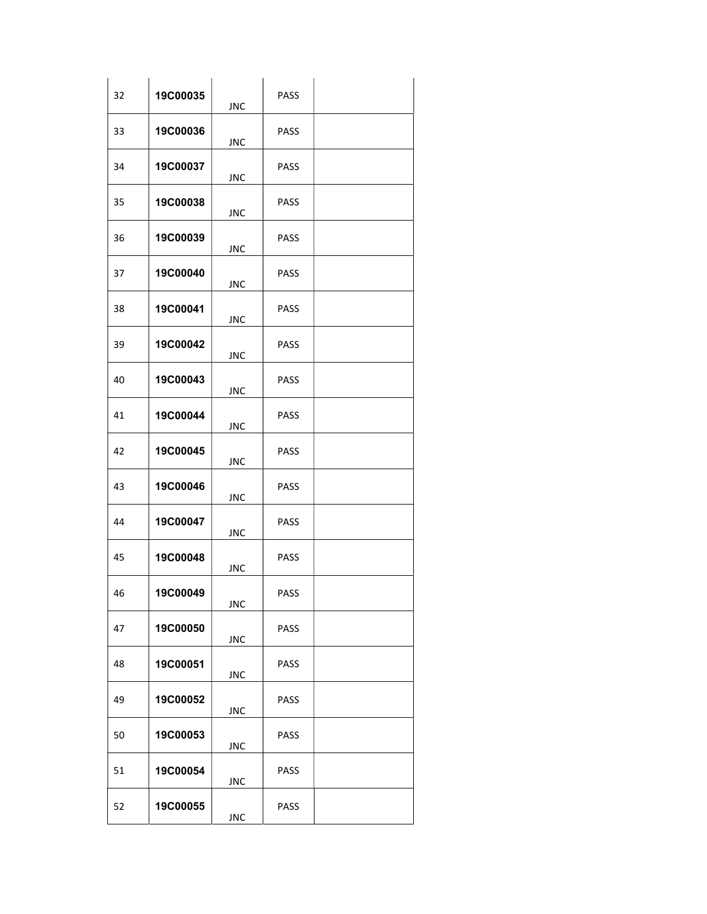| 32 | 19C00035 | <b>JNC</b> | PASS        |  |
|----|----------|------------|-------------|--|
| 33 | 19C00036 | <b>JNC</b> | PASS        |  |
| 34 | 19C00037 | <b>JNC</b> | PASS        |  |
| 35 | 19C00038 | <b>JNC</b> | PASS        |  |
| 36 | 19C00039 | <b>JNC</b> | <b>PASS</b> |  |
| 37 | 19C00040 | <b>JNC</b> | PASS        |  |
| 38 | 19C00041 | <b>JNC</b> | <b>PASS</b> |  |
| 39 | 19C00042 | <b>JNC</b> | <b>PASS</b> |  |
| 40 | 19C00043 | <b>JNC</b> | PASS        |  |
| 41 | 19C00044 | <b>JNC</b> | PASS        |  |
| 42 | 19C00045 | <b>JNC</b> | PASS        |  |
| 43 | 19C00046 | <b>JNC</b> | PASS        |  |
| 44 | 19C00047 | <b>JNC</b> | PASS        |  |
| 45 | 19C00048 | <b>JNC</b> | PASS        |  |
| 46 | 19C00049 | <b>JNC</b> | PASS        |  |
| 47 | 19C00050 | <b>JNC</b> | PASS        |  |
| 48 | 19C00051 | <b>JNC</b> | <b>PASS</b> |  |
| 49 | 19C00052 | <b>JNC</b> | PASS        |  |
| 50 | 19C00053 | <b>JNC</b> | <b>PASS</b> |  |
| 51 | 19C00054 | <b>JNC</b> | PASS        |  |
| 52 | 19C00055 | <b>JNC</b> | PASS        |  |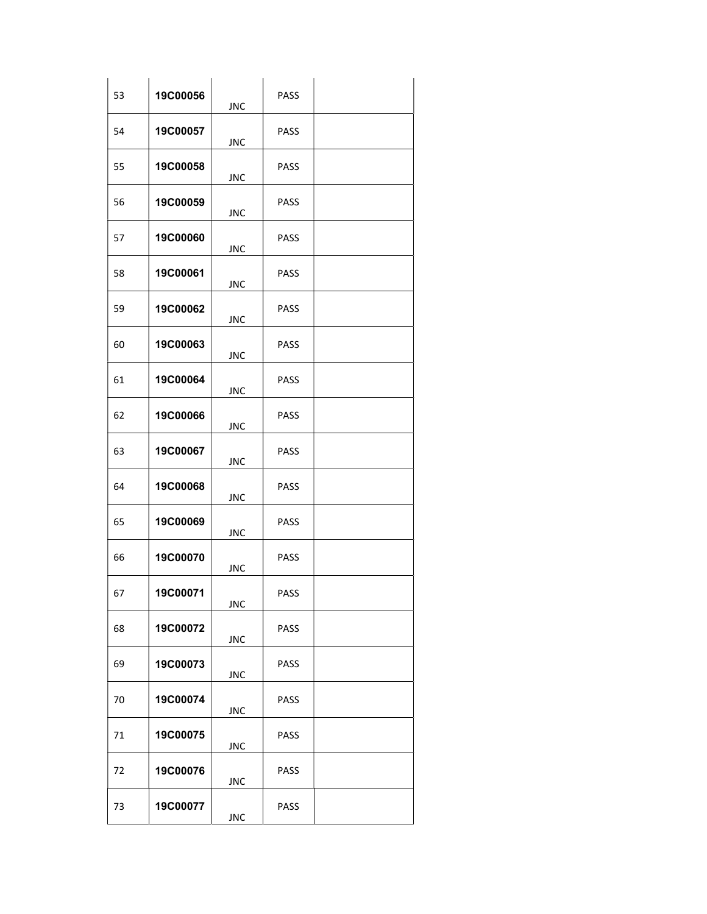| 53 | 19C00056 | <b>JNC</b> | PASS        |  |
|----|----------|------------|-------------|--|
| 54 | 19C00057 | JNC        | PASS        |  |
| 55 | 19C00058 | <b>JNC</b> | PASS        |  |
| 56 | 19C00059 | <b>JNC</b> | PASS        |  |
| 57 | 19C00060 | <b>JNC</b> | <b>PASS</b> |  |
| 58 | 19C00061 | <b>JNC</b> | PASS        |  |
| 59 | 19C00062 | <b>JNC</b> | <b>PASS</b> |  |
| 60 | 19C00063 | <b>JNC</b> | <b>PASS</b> |  |
| 61 | 19C00064 | <b>JNC</b> | PASS        |  |
| 62 | 19C00066 | <b>JNC</b> | PASS        |  |
| 63 | 19C00067 | <b>JNC</b> | PASS        |  |
| 64 | 19C00068 | <b>JNC</b> | PASS        |  |
| 65 | 19C00069 | <b>JNC</b> | PASS        |  |
| 66 | 19C00070 | JNC        | PASS        |  |
| 67 | 19C00071 | <b>JNC</b> | PASS        |  |
| 68 | 19C00072 | <b>JNC</b> | PASS        |  |
| 69 | 19C00073 | <b>JNC</b> | <b>PASS</b> |  |
| 70 | 19C00074 | <b>JNC</b> | <b>PASS</b> |  |
| 71 | 19C00075 | <b>JNC</b> | PASS        |  |
| 72 | 19C00076 | <b>JNC</b> | PASS        |  |
| 73 | 19C00077 | <b>JNC</b> | PASS        |  |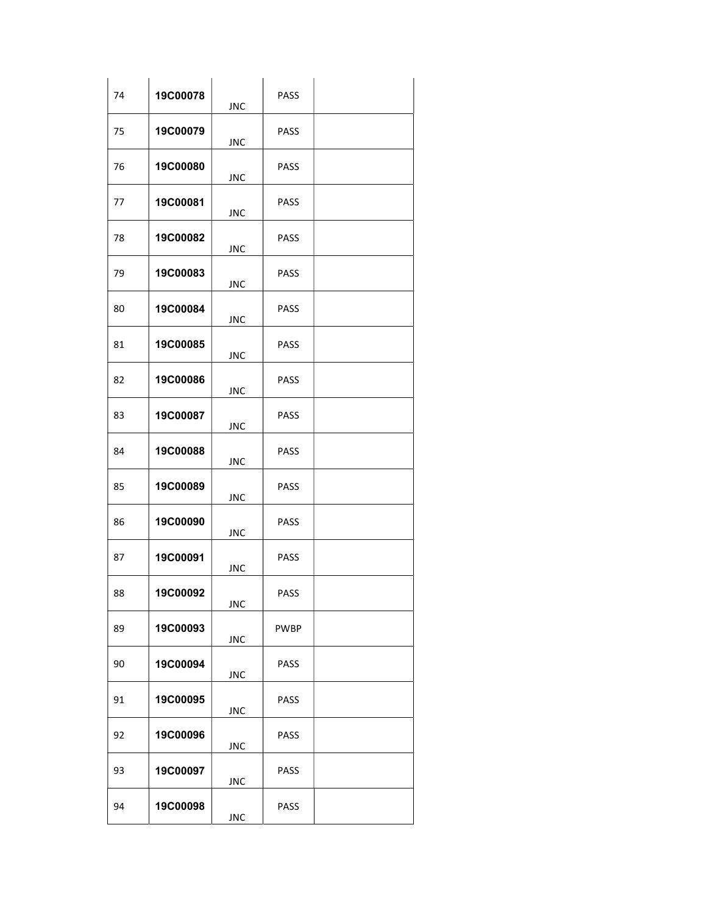| 74 | 19C00078        | <b>JNC</b> | PASS        |  |
|----|-----------------|------------|-------------|--|
| 75 | 19C00079        | <b>JNC</b> | PASS        |  |
| 76 | 19C00080        | JNC        | PASS        |  |
| 77 | <b>19C00081</b> | <b>JNC</b> | <b>PASS</b> |  |
| 78 | 19C00082        | <b>JNC</b> | <b>PASS</b> |  |
| 79 | 19C00083        | <b>JNC</b> | PASS        |  |
| 80 | 19C00084        | <b>JNC</b> | <b>PASS</b> |  |
| 81 | 19C00085        | <b>JNC</b> | <b>PASS</b> |  |
| 82 | 19C00086        | <b>JNC</b> | PASS        |  |
| 83 | 19C00087        | <b>JNC</b> | PASS        |  |
| 84 | 19C00088        | <b>JNC</b> | PASS        |  |
| 85 | 19C00089        | <b>JNC</b> | PASS        |  |
| 86 | 19C00090        | <b>JNC</b> | PASS        |  |
| 87 | 19C00091        | <b>JNC</b> | PASS        |  |
| 88 | 19C00092        | <b>JNC</b> | PASS        |  |
| 89 | 19C00093        | <b>JNC</b> | <b>PWBP</b> |  |
| 90 | 19C00094        | <b>JNC</b> | <b>PASS</b> |  |
| 91 | 19C00095        | <b>JNC</b> | PASS        |  |
| 92 | <b>19C00096</b> | <b>JNC</b> | PASS        |  |
| 93 | 19C00097        | <b>JNC</b> | PASS        |  |
| 94 | 19C00098        | <b>JNC</b> | PASS        |  |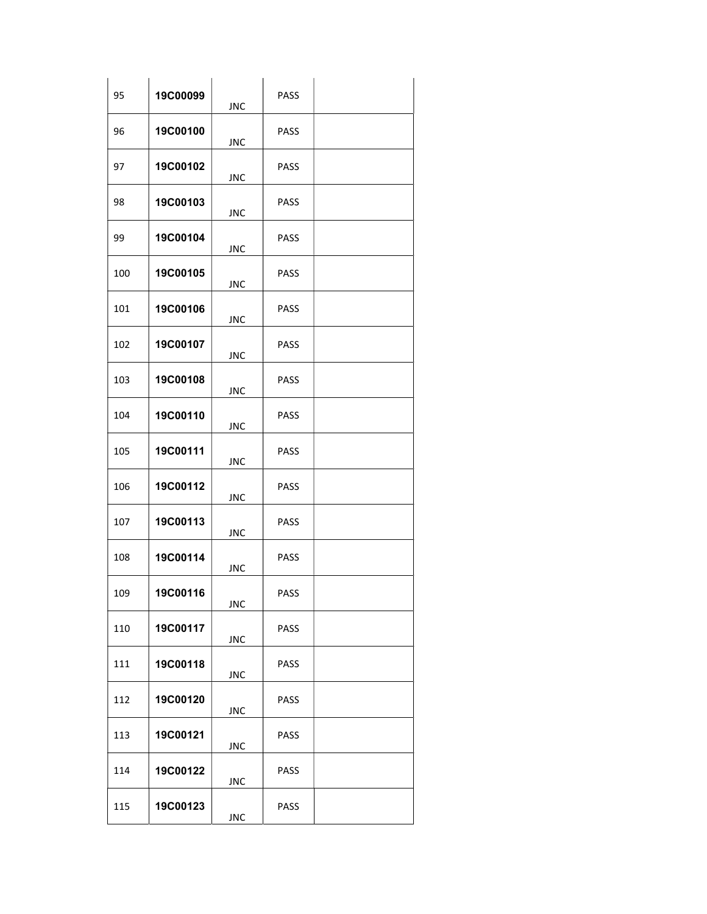| 95  | 19C00099 | <b>JNC</b> | PASS        |  |
|-----|----------|------------|-------------|--|
| 96  | 19C00100 | <b>JNC</b> | PASS        |  |
| 97  | 19C00102 | JNC        | PASS        |  |
| 98  | 19C00103 | <b>JNC</b> | PASS        |  |
| 99  | 19C00104 | <b>JNC</b> | <b>PASS</b> |  |
| 100 | 19C00105 | <b>JNC</b> | PASS        |  |
| 101 | 19C00106 | <b>JNC</b> | <b>PASS</b> |  |
| 102 | 19C00107 | <b>JNC</b> | PASS        |  |
| 103 | 19C00108 | <b>JNC</b> | PASS        |  |
| 104 | 19C00110 | <b>JNC</b> | PASS        |  |
| 105 | 19C00111 | <b>JNC</b> | PASS        |  |
| 106 | 19C00112 | <b>JNC</b> | PASS        |  |
| 107 | 19C00113 | <b>JNC</b> | PASS        |  |
| 108 | 19C00114 | <b>JNC</b> | PASS        |  |
| 109 | 19C00116 | <b>JNC</b> | PASS        |  |
| 110 | 19C00117 | <b>JNC</b> | PASS        |  |
| 111 | 19C00118 | <b>JNC</b> | <b>PASS</b> |  |
| 112 | 19C00120 | <b>JNC</b> | <b>PASS</b> |  |
| 113 | 19C00121 | <b>JNC</b> | PASS        |  |
| 114 | 19C00122 | <b>JNC</b> | PASS        |  |
| 115 | 19C00123 | <b>JNC</b> | PASS        |  |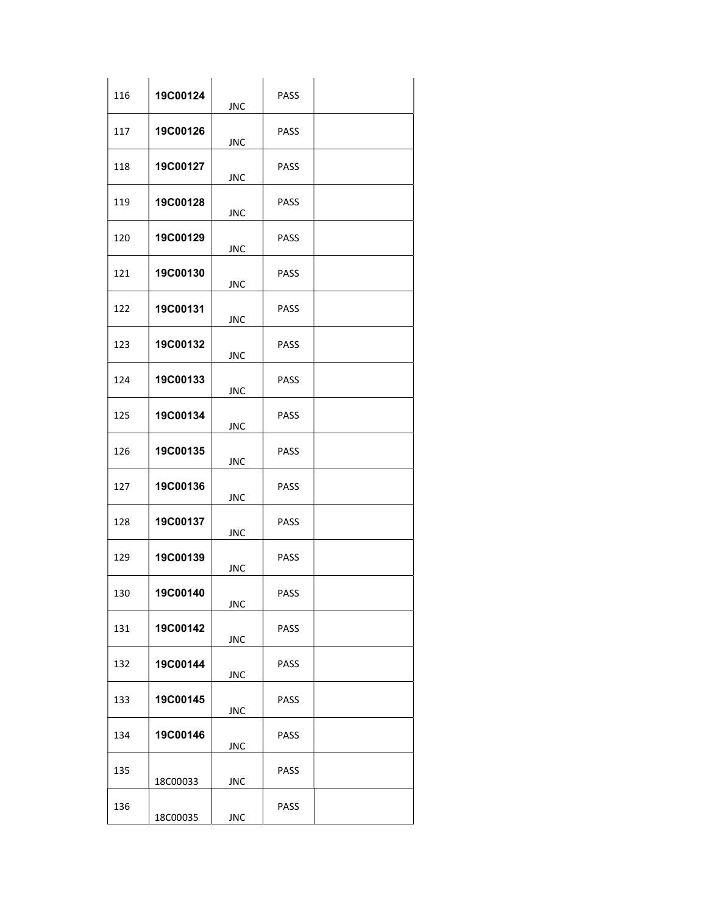| 116 | 19C00124 | <b>JNC</b> | PASS        |  |
|-----|----------|------------|-------------|--|
| 117 | 19C00126 | <b>JNC</b> | <b>PASS</b> |  |
| 118 | 19C00127 | JNC        | <b>PASS</b> |  |
| 119 | 19C00128 | <b>JNC</b> | <b>PASS</b> |  |
| 120 | 19C00129 | <b>JNC</b> | <b>PASS</b> |  |
| 121 | 19C00130 | <b>JNC</b> | <b>PASS</b> |  |
| 122 | 19C00131 | <b>JNC</b> | <b>PASS</b> |  |
| 123 | 19C00132 | <b>JNC</b> | <b>PASS</b> |  |
| 124 | 19C00133 | <b>JNC</b> | <b>PASS</b> |  |
| 125 | 19C00134 | <b>JNC</b> | <b>PASS</b> |  |
| 126 | 19C00135 | JNC        | <b>PASS</b> |  |
| 127 | 19C00136 | <b>JNC</b> | <b>PASS</b> |  |
| 128 | 19C00137 | <b>JNC</b> | <b>PASS</b> |  |
| 129 | 19C00139 | <b>JNC</b> | <b>PASS</b> |  |
| 130 | 19C00140 | <b>JNC</b> | PASS        |  |
| 131 | 19C00142 | <b>JNC</b> | PASS        |  |
| 132 | 19C00144 | <b>JNC</b> | <b>PASS</b> |  |
| 133 | 19C00145 | <b>JNC</b> | <b>PASS</b> |  |
| 134 | 19C00146 | <b>JNC</b> | <b>PASS</b> |  |
| 135 | 18C00033 | <b>JNC</b> | <b>PASS</b> |  |
| 136 | 18C00035 | <b>JNC</b> | PASS        |  |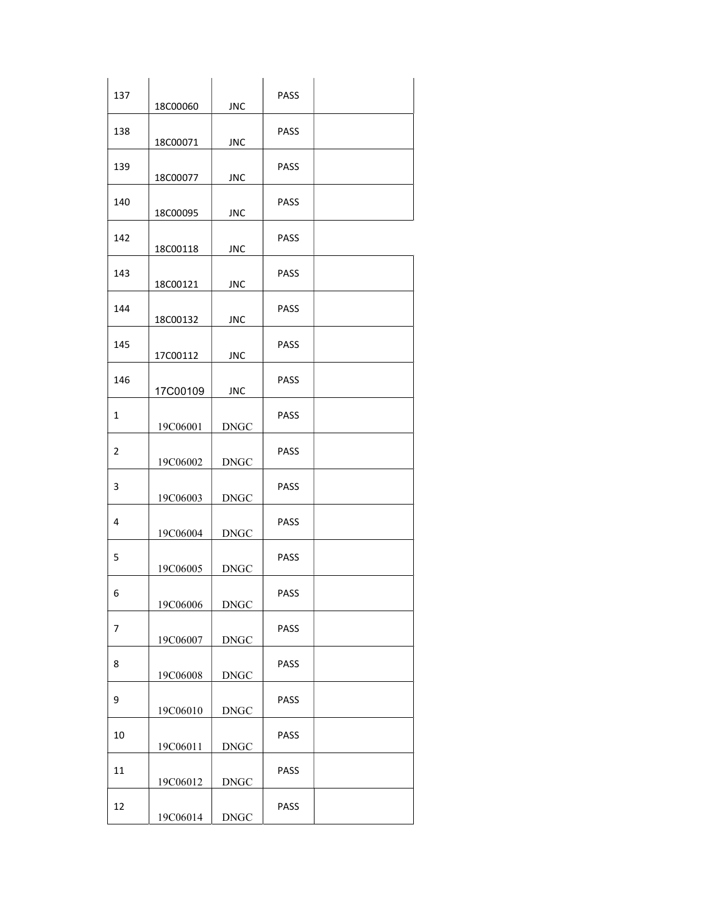| 137 | 18C00060 | <b>JNC</b>  | PASS |  |
|-----|----------|-------------|------|--|
| 138 | 18C00071 | JNC         | PASS |  |
| 139 | 18C00077 | <b>JNC</b>  | PASS |  |
| 140 | 18C00095 | <b>JNC</b>  | PASS |  |
| 142 | 18C00118 | <b>JNC</b>  | PASS |  |
| 143 | 18C00121 | <b>JNC</b>  | PASS |  |
| 144 | 18C00132 | <b>JNC</b>  | PASS |  |
| 145 | 17C00112 | <b>JNC</b>  | PASS |  |
| 146 | 17C00109 | <b>JNC</b>  | PASS |  |
| 1   | 19C06001 | <b>DNGC</b> | PASS |  |
| 2   | 19C06002 | <b>DNGC</b> | PASS |  |
| 3   | 19C06003 | <b>DNGC</b> | PASS |  |
| 4   | 19C06004 | <b>DNGC</b> | PASS |  |
| 5   | 19C06005 | <b>DNGC</b> | PASS |  |
| 6   | 19C06006 | <b>DNGC</b> | PASS |  |
| 7   | 19C06007 | <b>DNGC</b> | PASS |  |
| 8   | 19C06008 | <b>DNGC</b> | PASS |  |
| 9   | 19C06010 | <b>DNGC</b> | PASS |  |
| 10  | 19C06011 | <b>DNGC</b> | PASS |  |
| 11  | 19C06012 | <b>DNGC</b> | PASS |  |
| 12  | 19C06014 | <b>DNGC</b> | PASS |  |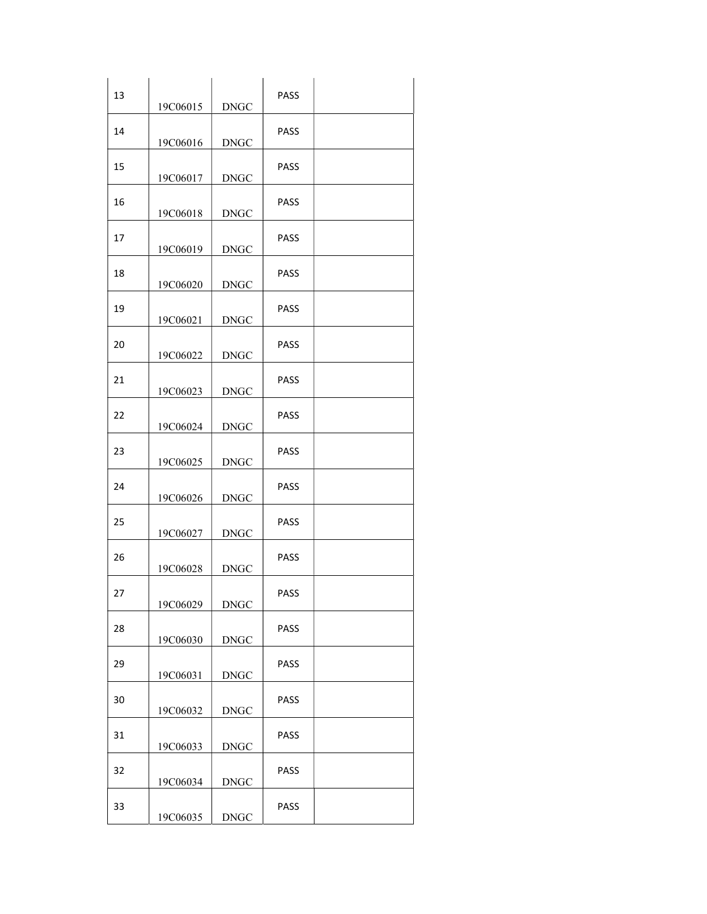| 13 | 19C06015 | <b>DNGC</b> | PASS        |  |
|----|----------|-------------|-------------|--|
| 14 | 19C06016 | <b>DNGC</b> | PASS        |  |
| 15 | 19C06017 | <b>DNGC</b> | PASS        |  |
| 16 | 19C06018 | <b>DNGC</b> | <b>PASS</b> |  |
| 17 | 19C06019 | <b>DNGC</b> | <b>PASS</b> |  |
| 18 | 19C06020 | <b>DNGC</b> | PASS        |  |
| 19 | 19C06021 | <b>DNGC</b> | <b>PASS</b> |  |
| 20 | 19C06022 | <b>DNGC</b> | <b>PASS</b> |  |
| 21 | 19C06023 | <b>DNGC</b> | PASS        |  |
| 22 | 19C06024 | <b>DNGC</b> | PASS        |  |
| 23 | 19C06025 | <b>DNGC</b> | PASS        |  |
| 24 | 19C06026 | <b>DNGC</b> | PASS        |  |
| 25 | 19C06027 | <b>DNGC</b> | PASS        |  |
| 26 | 19C06028 | <b>DNGC</b> | PASS        |  |
| 27 | 19C06029 | <b>DNGC</b> | PASS        |  |
| 28 | 19C06030 | <b>DNGC</b> | PASS        |  |
| 29 | 19C06031 | <b>DNGC</b> | PASS        |  |
| 30 | 19C06032 | <b>DNGC</b> | PASS        |  |
| 31 | 19C06033 | <b>DNGC</b> | PASS        |  |
| 32 | 19C06034 | <b>DNGC</b> | PASS        |  |
| 33 | 19C06035 | <b>DNGC</b> | PASS        |  |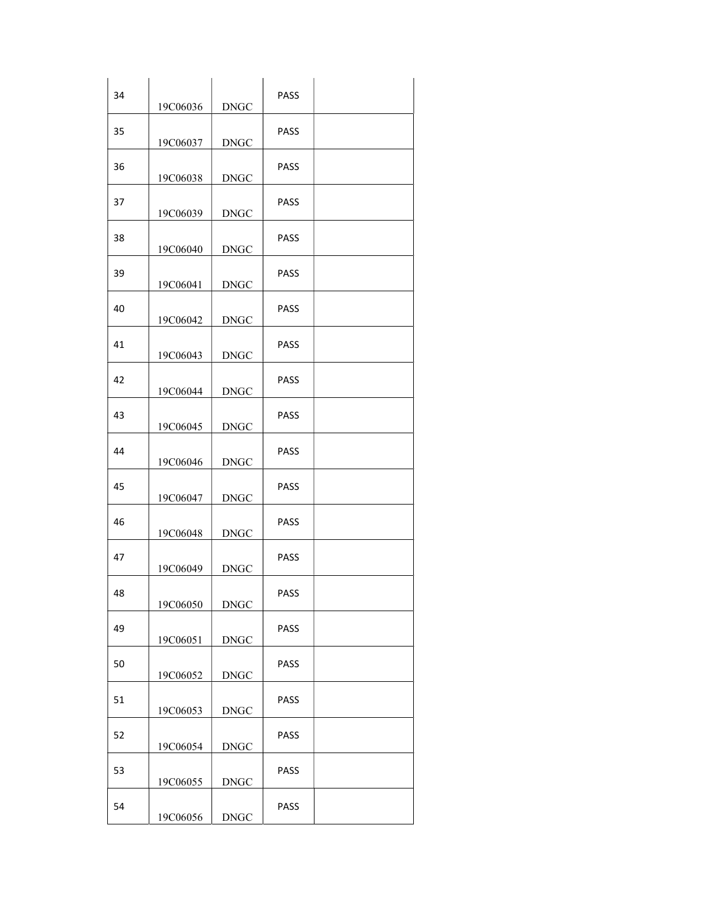| 34 | 19C06036 | <b>DNGC</b> | <b>PASS</b> |  |
|----|----------|-------------|-------------|--|
| 35 | 19C06037 | <b>DNGC</b> | PASS        |  |
| 36 | 19C06038 | <b>DNGC</b> | PASS        |  |
| 37 | 19C06039 | <b>DNGC</b> | <b>PASS</b> |  |
| 38 | 19C06040 | <b>DNGC</b> | <b>PASS</b> |  |
| 39 | 19C06041 | <b>DNGC</b> | PASS        |  |
| 40 | 19C06042 | <b>DNGC</b> | <b>PASS</b> |  |
| 41 | 19C06043 | <b>DNGC</b> | <b>PASS</b> |  |
| 42 | 19C06044 | <b>DNGC</b> | PASS        |  |
| 43 | 19C06045 | <b>DNGC</b> | <b>PASS</b> |  |
| 44 | 19C06046 | <b>DNGC</b> | PASS        |  |
| 45 | 19C06047 | <b>DNGC</b> | <b>PASS</b> |  |
| 46 | 19C06048 | <b>DNGC</b> | PASS        |  |
| 47 | 19C06049 | <b>DNGC</b> | PASS        |  |
| 48 | 19C06050 | <b>DNGC</b> | PASS        |  |
| 49 | 19C06051 | <b>DNGC</b> | PASS        |  |
| 50 | 19C06052 | <b>DNGC</b> | <b>PASS</b> |  |
| 51 | 19C06053 | <b>DNGC</b> | PASS        |  |
| 52 | 19C06054 | <b>DNGC</b> | PASS        |  |
| 53 | 19C06055 | <b>DNGC</b> | PASS        |  |
| 54 | 19C06056 | <b>DNGC</b> | PASS        |  |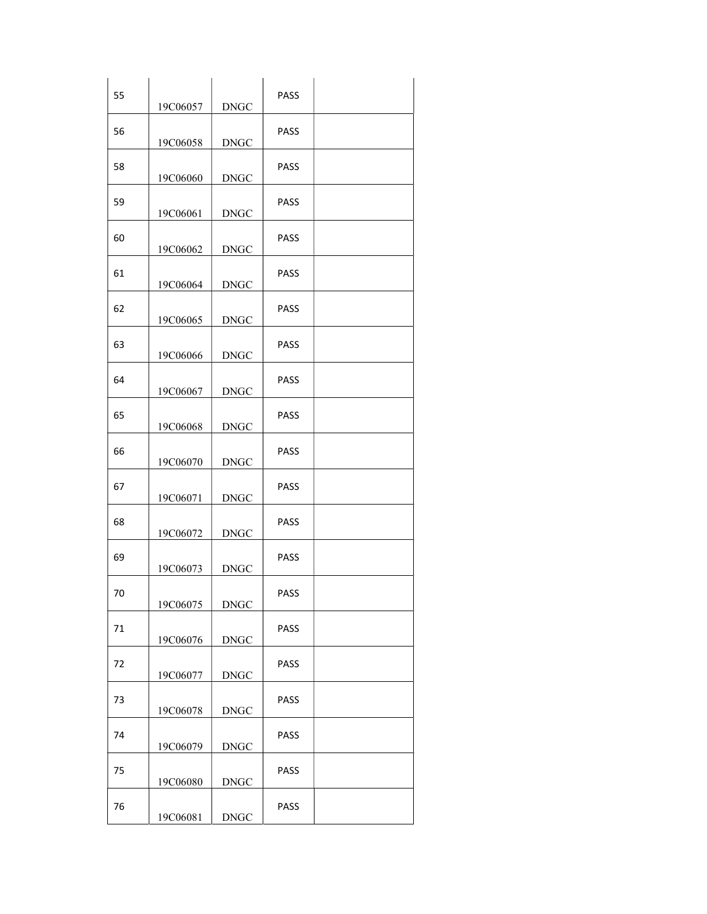| 55 | 19C06057 | <b>DNGC</b> | <b>PASS</b> |  |
|----|----------|-------------|-------------|--|
| 56 | 19C06058 | <b>DNGC</b> | PASS        |  |
| 58 | 19C06060 | <b>DNGC</b> | PASS        |  |
| 59 | 19C06061 | <b>DNGC</b> | PASS        |  |
| 60 | 19C06062 | <b>DNGC</b> | <b>PASS</b> |  |
| 61 | 19C06064 | <b>DNGC</b> | PASS        |  |
| 62 | 19C06065 | <b>DNGC</b> | <b>PASS</b> |  |
| 63 | 19C06066 | <b>DNGC</b> | PASS        |  |
| 64 | 19C06067 | <b>DNGC</b> | <b>PASS</b> |  |
| 65 | 19C06068 | <b>DNGC</b> | PASS        |  |
| 66 | 19C06070 | <b>DNGC</b> | PASS        |  |
| 67 | 19C06071 | <b>DNGC</b> | PASS        |  |
| 68 | 19C06072 | <b>DNGC</b> | PASS        |  |
| 69 | 19C06073 | <b>DNGC</b> | PASS        |  |
| 70 | 19C06075 | <b>DNGC</b> | PASS        |  |
| 71 | 19C06076 | <b>DNGC</b> | PASS        |  |
| 72 | 19C06077 | <b>DNGC</b> | PASS        |  |
| 73 | 19C06078 | <b>DNGC</b> | PASS        |  |
| 74 | 19C06079 | <b>DNGC</b> | PASS        |  |
| 75 | 19C06080 | <b>DNGC</b> | PASS        |  |
| 76 | 19C06081 | <b>DNGC</b> | PASS        |  |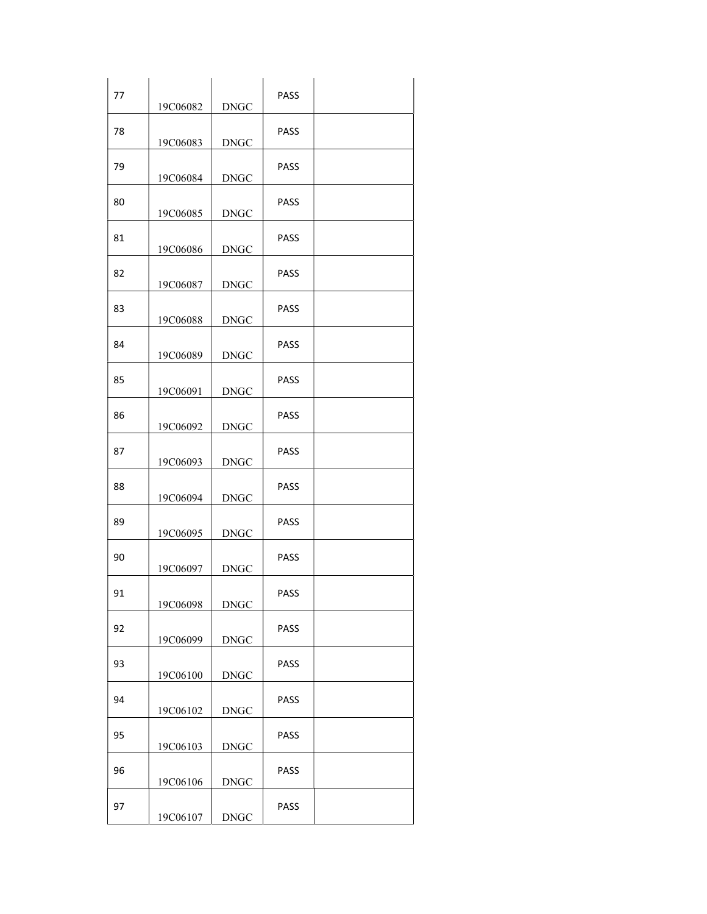| 77 | 19C06082 | <b>DNGC</b> | <b>PASS</b> |  |
|----|----------|-------------|-------------|--|
| 78 | 19C06083 | <b>DNGC</b> | PASS        |  |
| 79 | 19C06084 | <b>DNGC</b> | PASS        |  |
| 80 | 19C06085 | <b>DNGC</b> | PASS        |  |
| 81 | 19C06086 | <b>DNGC</b> | <b>PASS</b> |  |
| 82 | 19C06087 | <b>DNGC</b> | PASS        |  |
| 83 | 19C06088 | <b>DNGC</b> | <b>PASS</b> |  |
| 84 | 19C06089 | <b>DNGC</b> | <b>PASS</b> |  |
| 85 | 19C06091 | <b>DNGC</b> | PASS        |  |
| 86 | 19C06092 | <b>DNGC</b> | PASS        |  |
| 87 | 19C06093 | <b>DNGC</b> | PASS        |  |
| 88 | 19C06094 | <b>DNGC</b> | <b>PASS</b> |  |
| 89 | 19C06095 | <b>DNGC</b> | PASS        |  |
| 90 | 19C06097 | <b>DNGC</b> | PASS        |  |
| 91 | 19C06098 | <b>DNGC</b> | PASS        |  |
| 92 | 19C06099 | <b>DNGC</b> | PASS        |  |
| 93 | 19C06100 | <b>DNGC</b> | <b>PASS</b> |  |
| 94 | 19C06102 | <b>DNGC</b> | PASS        |  |
| 95 | 19C06103 | <b>DNGC</b> | PASS        |  |
| 96 | 19C06106 | <b>DNGC</b> | PASS        |  |
| 97 | 19C06107 | <b>DNGC</b> | PASS        |  |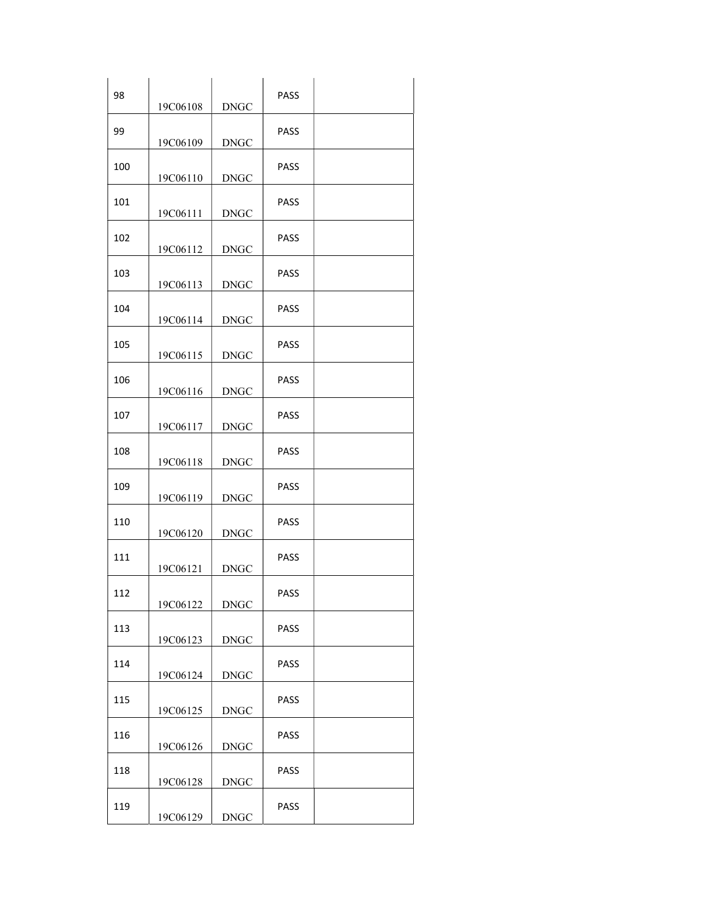| 98  | 19C06108 | <b>DNGC</b> | <b>PASS</b> |  |
|-----|----------|-------------|-------------|--|
| 99  | 19C06109 | <b>DNGC</b> | PASS        |  |
| 100 | 19C06110 | <b>DNGC</b> | PASS        |  |
| 101 | 19C06111 | <b>DNGC</b> | <b>PASS</b> |  |
| 102 | 19C06112 | <b>DNGC</b> | <b>PASS</b> |  |
| 103 | 19C06113 | <b>DNGC</b> | PASS        |  |
| 104 | 19C06114 | <b>DNGC</b> | <b>PASS</b> |  |
| 105 | 19C06115 | <b>DNGC</b> | <b>PASS</b> |  |
| 106 | 19C06116 | <b>DNGC</b> | PASS        |  |
| 107 | 19C06117 | <b>DNGC</b> | PASS        |  |
| 108 | 19C06118 | <b>DNGC</b> | PASS        |  |
| 109 | 19C06119 | <b>DNGC</b> | <b>PASS</b> |  |
| 110 | 19C06120 | <b>DNGC</b> | PASS        |  |
| 111 | 19C06121 | <b>DNGC</b> | <b>PASS</b> |  |
| 112 | 19C06122 | <b>DNGC</b> | PASS        |  |
| 113 | 19C06123 | <b>DNGC</b> | PASS        |  |
| 114 | 19C06124 | <b>DNGC</b> | <b>PASS</b> |  |
| 115 | 19C06125 | <b>DNGC</b> | PASS        |  |
| 116 | 19C06126 | <b>DNGC</b> | <b>PASS</b> |  |
| 118 | 19C06128 | <b>DNGC</b> | PASS        |  |
| 119 | 19C06129 | <b>DNGC</b> | PASS        |  |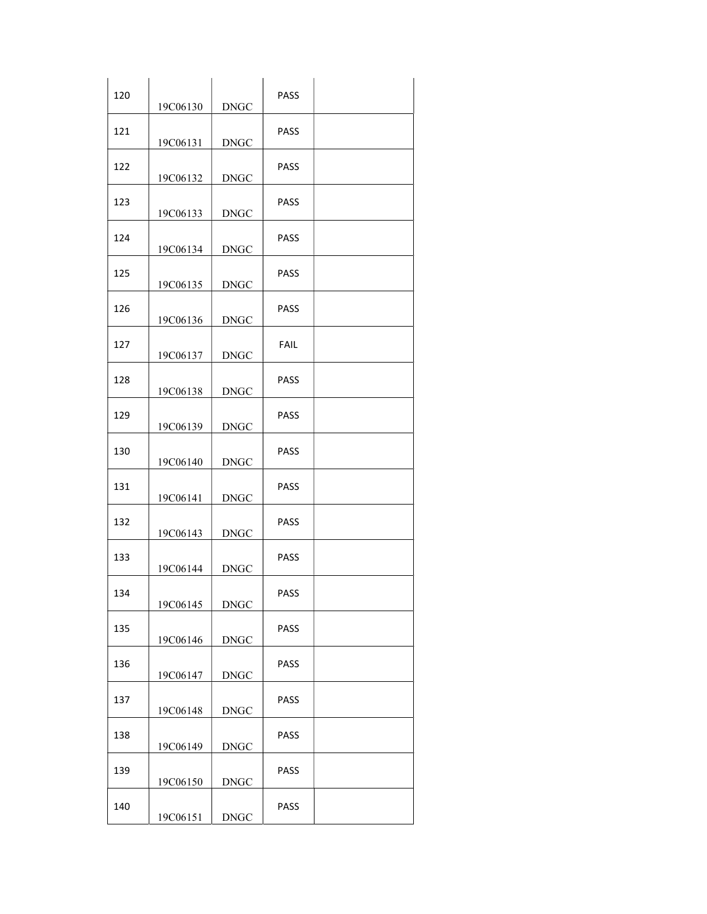| 120 | 19C06130 | <b>DNGC</b> | <b>PASS</b> |  |
|-----|----------|-------------|-------------|--|
| 121 | 19C06131 | <b>DNGC</b> | <b>PASS</b> |  |
| 122 | 19C06132 | <b>DNGC</b> | PASS        |  |
| 123 | 19C06133 | <b>DNGC</b> | <b>PASS</b> |  |
| 124 | 19C06134 | <b>DNGC</b> | <b>PASS</b> |  |
| 125 | 19C06135 | <b>DNGC</b> | <b>PASS</b> |  |
| 126 | 19C06136 | <b>DNGC</b> | <b>PASS</b> |  |
| 127 | 19C06137 | <b>DNGC</b> | FAIL        |  |
| 128 | 19C06138 | <b>DNGC</b> | PASS        |  |
| 129 | 19C06139 | <b>DNGC</b> | PASS        |  |
| 130 | 19C06140 | <b>DNGC</b> | PASS        |  |
| 131 | 19C06141 | <b>DNGC</b> | <b>PASS</b> |  |
| 132 | 19C06143 | <b>DNGC</b> | PASS        |  |
| 133 | 19C06144 | <b>DNGC</b> | <b>PASS</b> |  |
| 134 | 19C06145 | <b>DNGC</b> | PASS        |  |
| 135 | 19C06146 | <b>DNGC</b> | PASS        |  |
| 136 | 19C06147 | <b>DNGC</b> | <b>PASS</b> |  |
| 137 | 19C06148 | <b>DNGC</b> | PASS        |  |
| 138 | 19C06149 | <b>DNGC</b> | PASS        |  |
| 139 | 19C06150 | <b>DNGC</b> | PASS        |  |
| 140 | 19C06151 | <b>DNGC</b> | PASS        |  |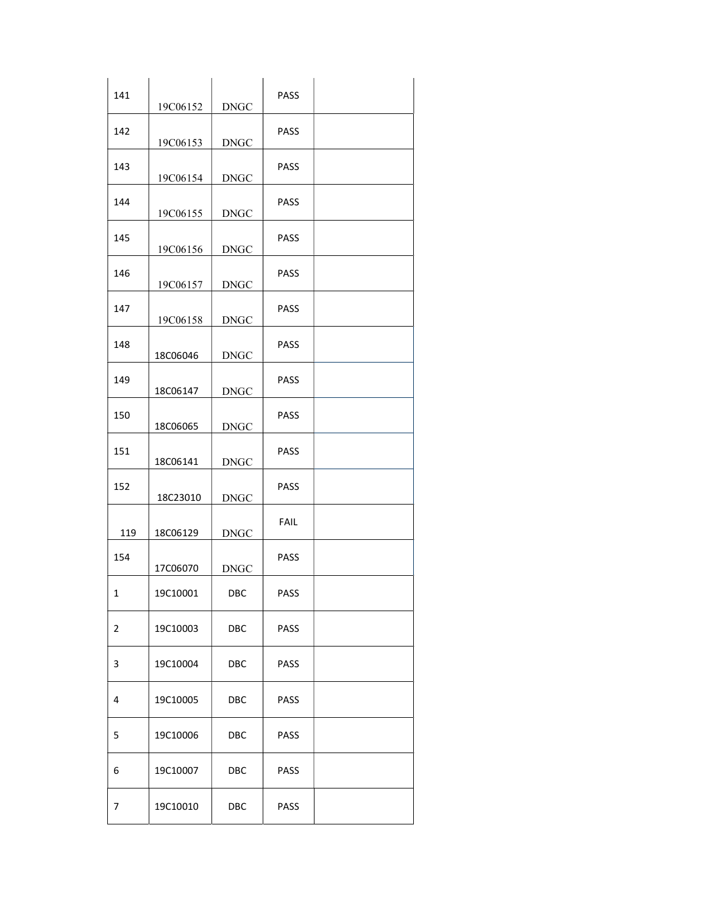| 141 | 19C06152 | <b>DNGC</b> | PASS        |  |
|-----|----------|-------------|-------------|--|
| 142 | 19C06153 | <b>DNGC</b> | PASS        |  |
| 143 | 19C06154 | <b>DNGC</b> | PASS        |  |
| 144 | 19C06155 | <b>DNGC</b> | PASS        |  |
| 145 | 19C06156 | <b>DNGC</b> | <b>PASS</b> |  |
| 146 | 19C06157 | <b>DNGC</b> | PASS        |  |
| 147 | 19C06158 | <b>DNGC</b> | <b>PASS</b> |  |
| 148 | 18C06046 | <b>DNGC</b> | <b>PASS</b> |  |
| 149 | 18C06147 | <b>DNGC</b> | PASS        |  |
| 150 | 18C06065 | <b>DNGC</b> | PASS        |  |
| 151 | 18C06141 | <b>DNGC</b> | PASS        |  |
| 152 | 18C23010 | <b>DNGC</b> | PASS        |  |
| 119 | 18C06129 | <b>DNGC</b> | <b>FAIL</b> |  |
| 154 | 17C06070 | <b>DNGC</b> | PASS        |  |
| 1   | 19C10001 | DBC         | PASS        |  |
| 2   | 19C10003 | DBC         | PASS        |  |
| 3   | 19C10004 | DBC         | PASS        |  |
| 4   | 19C10005 | DBC         | PASS        |  |
| 5   | 19C10006 | DBC         | PASS        |  |
| 6   | 19C10007 | DBC         | PASS        |  |
| 7   | 19C10010 | DBC         | PASS        |  |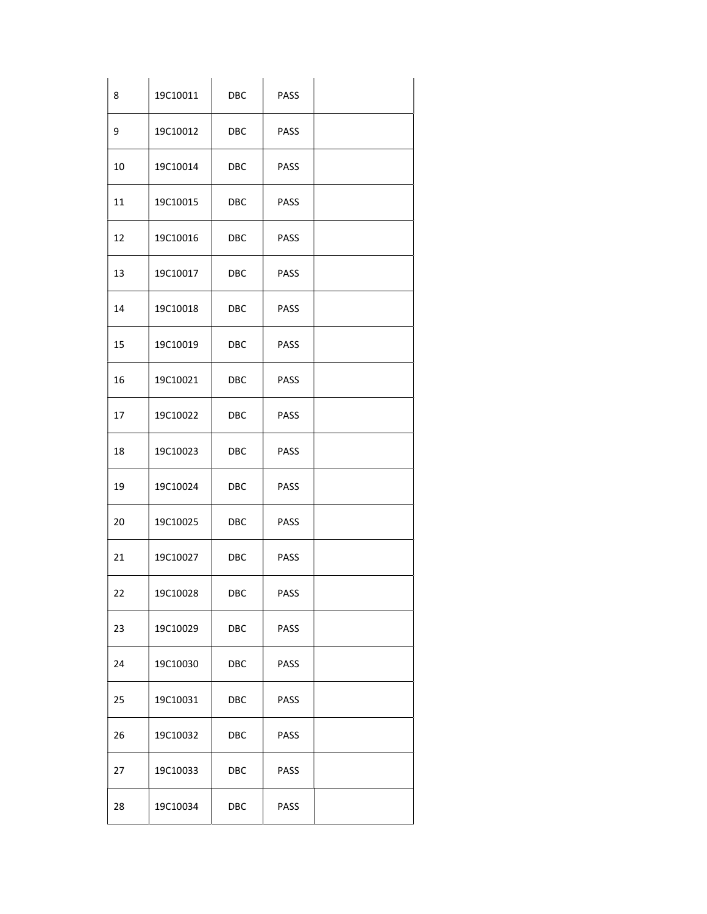| 8          | 19C10011 | DBC                                         | PASS |  |
|------------|----------|---------------------------------------------|------|--|
| 9          | 19C10012 | DBC                                         | PASS |  |
| 10         | 19C10014 | DBC                                         | PASS |  |
| ${\bf 11}$ | 19C10015 | DBC                                         | PASS |  |
| 12         | 19C10016 | DBC                                         | PASS |  |
| 13         | 19C10017 | DBC                                         | PASS |  |
| 14         | 19C10018 | <b>DBC</b>                                  | PASS |  |
| 15         | 19C10019 | DBC                                         | PASS |  |
| 16         | 19C10021 | <b>DBC</b>                                  | PASS |  |
| 17         | 19C10022 | DBC                                         | PASS |  |
| 18         | 19C10023 | $\overline{\text{DBC}}$                     | PASS |  |
| 19         | 19C10024 | DBC                                         | PASS |  |
| 20         | 19C10025 | <b>DBC</b>                                  | PASS |  |
| 21         | 19C10027 | <b>DBC</b>                                  | PASS |  |
| 22         | 19C10028 | $\overline{\mathsf{D}\mathsf{B}\mathsf{C}}$ | PASS |  |
| 23         | 19C10029 | DBC                                         | PASS |  |
| 24         | 19C10030 | DBC                                         | PASS |  |
| 25         | 19C10031 | DBC                                         | PASS |  |
| 26         | 19C10032 | $\overline{\mathsf{D}\mathsf{B}\mathsf{C}}$ | PASS |  |
| 27         | 19C10033 | DBC                                         | PASS |  |
| 28         | 19C10034 | $\overline{\mathsf{D}\mathsf{B}\mathsf{C}}$ | PASS |  |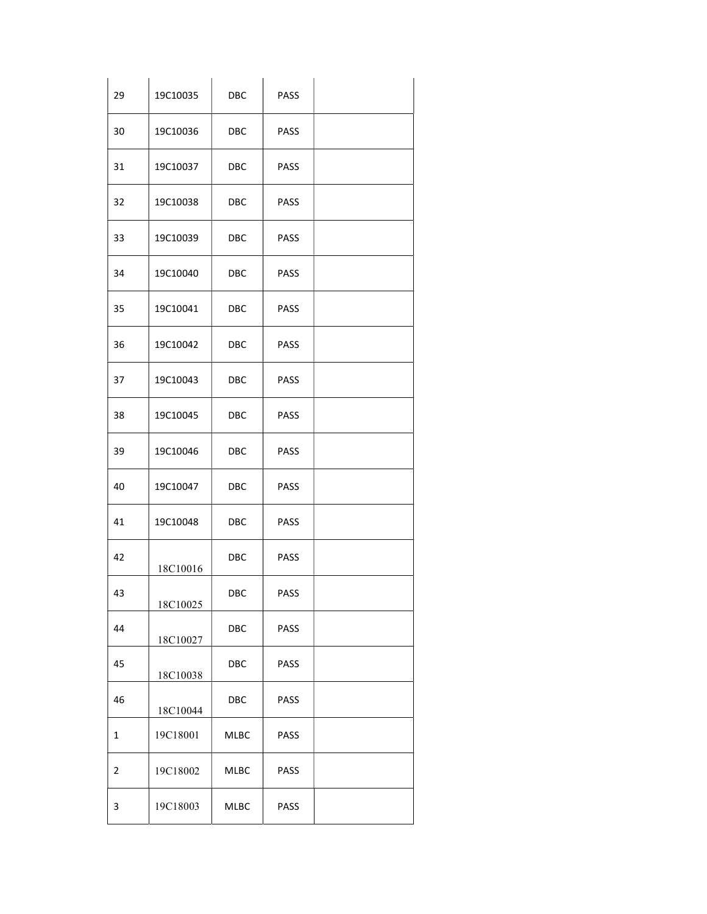| 29           | 19C10035 | DBC                                         | PASS |  |
|--------------|----------|---------------------------------------------|------|--|
| 30           | 19C10036 | <b>DBC</b>                                  | PASS |  |
| 31           | 19C10037 | DBC                                         | PASS |  |
| 32           | 19C10038 | <b>DBC</b>                                  | PASS |  |
| 33           | 19C10039 | <b>DBC</b>                                  | PASS |  |
| 34           | 19C10040 | <b>DBC</b>                                  | PASS |  |
| 35           | 19C10041 | DBC                                         | PASS |  |
| 36           | 19C10042 | <b>DBC</b>                                  | PASS |  |
| 37           | 19C10043 | DBC                                         | PASS |  |
| 38           | 19C10045 | <b>DBC</b>                                  | PASS |  |
| 39           | 19C10046 | <b>DBC</b>                                  | PASS |  |
| 40           | 19C10047 | <b>DBC</b>                                  | PASS |  |
| 41           | 19C10048 | <b>DBC</b>                                  | PASS |  |
| 42           | 18C10016 | <b>DBC</b>                                  | PASS |  |
| 43           | 18C10025 | $\overline{\mathsf{D}\mathsf{B}\mathsf{C}}$ | PASS |  |
| 44           | 18C10027 | DBC                                         | PASS |  |
| 45           | 18C10038 | DBC                                         | PASS |  |
| 46           | 18C10044 | $\overline{\mathsf{D}\mathsf{B}\mathsf{C}}$ | PASS |  |
| $\mathbf 1$  | 19C18001 | MLBC                                        | PASS |  |
| $\mathbf{2}$ | 19C18002 | MLBC                                        | PASS |  |
| $\mathbf{3}$ | 19C18003 | MLBC                                        | PASS |  |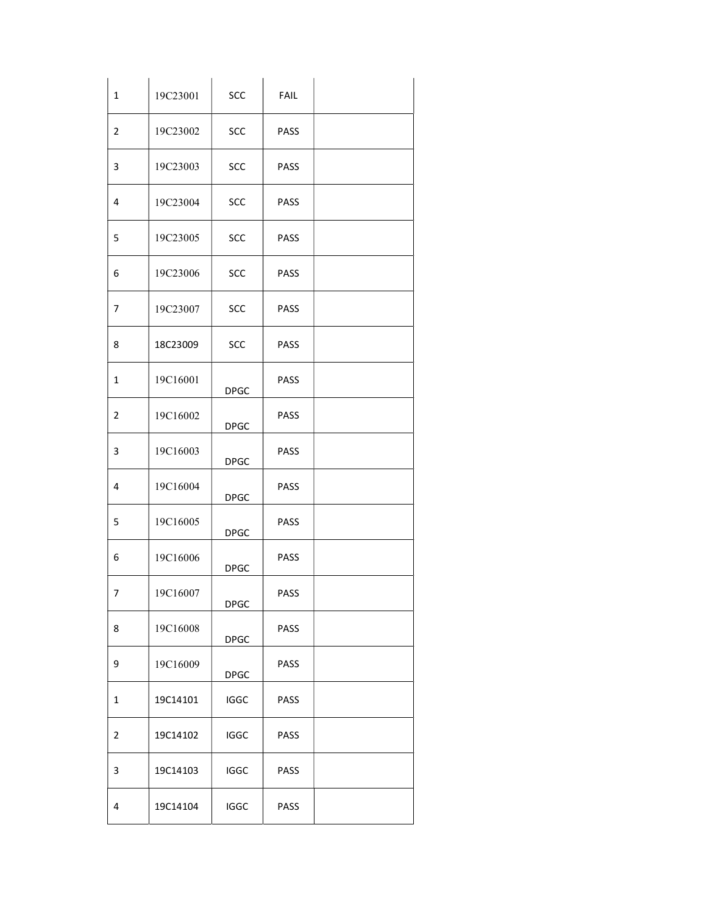| $\mathbf 1$             | 19C23001 | SCC         | FAIL |  |
|-------------------------|----------|-------------|------|--|
| $\overline{2}$          | 19C23002 | SCC         | PASS |  |
| $\mathbf{3}$            | 19C23003 | SCC         | PASS |  |
| 4                       | 19C23004 | SCC         | PASS |  |
| 5                       | 19C23005 | SCC         | PASS |  |
| 6                       | 19C23006 | SCC         | PASS |  |
| $\overline{7}$          | 19C23007 | SCC         | PASS |  |
| 8                       | 18C23009 | SCC         | PASS |  |
| $\mathbf{1}$            | 19C16001 | <b>DPGC</b> | PASS |  |
| $\overline{2}$          | 19C16002 | <b>DPGC</b> | PASS |  |
| $\mathbf{3}$            | 19C16003 | <b>DPGC</b> | PASS |  |
| 4                       | 19C16004 | <b>DPGC</b> | PASS |  |
| 5                       | 19C16005 | DPGC        | PASS |  |
| 6                       | 19C16006 | <b>DPGC</b> | PASS |  |
| $\overline{7}$          | 19C16007 | <b>DPGC</b> | PASS |  |
| 8                       | 19C16008 | <b>DPGC</b> | PASS |  |
| 9                       | 19C16009 | <b>DPGC</b> | PASS |  |
| $\mathbf{1}$            | 19C14101 | <b>IGGC</b> | PASS |  |
| $\overline{2}$          | 19C14102 | IGGC        | PASS |  |
| $\overline{\mathbf{3}}$ | 19C14103 | <b>IGGC</b> | PASS |  |
| 4                       | 19C14104 | IGGC        | PASS |  |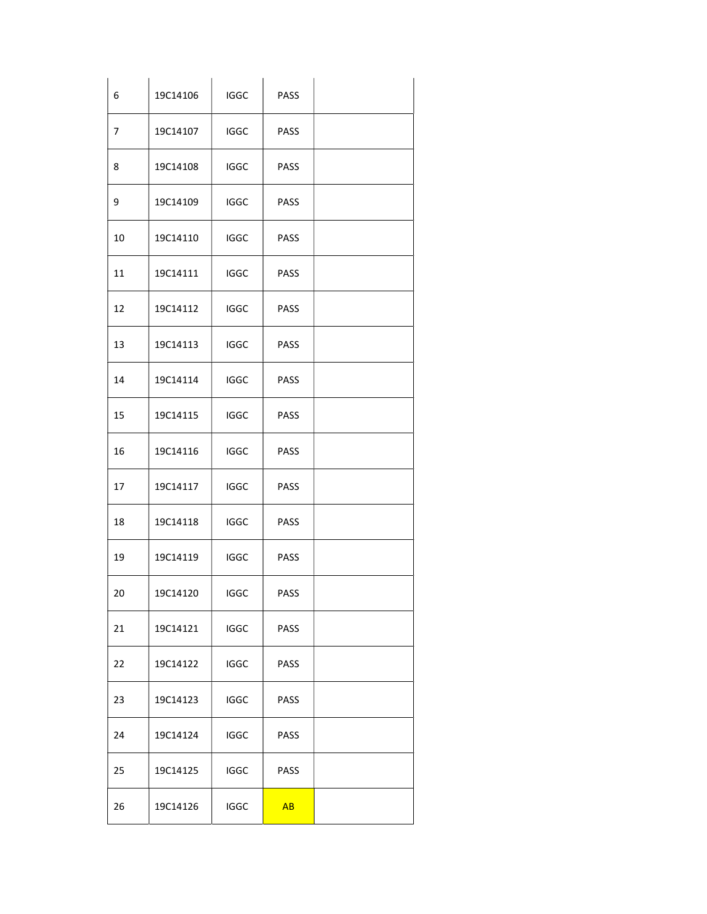| 6              | 19C14106 | <b>IGGC</b> | PASS |  |
|----------------|----------|-------------|------|--|
| $\overline{7}$ | 19C14107 | <b>IGGC</b> | PASS |  |
| 8              | 19C14108 | IGGC        | PASS |  |
| 9              | 19C14109 | <b>IGGC</b> | PASS |  |
| 10             | 19C14110 | <b>IGGC</b> | PASS |  |
| $11\,$         | 19C14111 | <b>IGGC</b> | PASS |  |
| 12             | 19C14112 | <b>IGGC</b> | PASS |  |
| 13             | 19C14113 | <b>IGGC</b> | PASS |  |
| 14             | 19C14114 | IGGC        | PASS |  |
| 15             | 19C14115 | <b>IGGC</b> | PASS |  |
| 16             | 19C14116 | IGGC        | PASS |  |
| 17             | 19C14117 | <b>IGGC</b> | PASS |  |
| 18             | 19C14118 | <b>IGGC</b> | PASS |  |
| 19             | 19C14119 | <b>IGGC</b> | PASS |  |
| 20             | 19C14120 | IGGC        | PASS |  |
| 21             | 19C14121 | IGGC        | PASS |  |
| 22             | 19C14122 | IGGC        | PASS |  |
| 23             | 19C14123 | <b>IGGC</b> | PASS |  |
| 24             | 19C14124 | IGGC        | PASS |  |
| 25             | 19C14125 | <b>IGGC</b> | PASS |  |
| 26             | 19C14126 | IGGC        | AB   |  |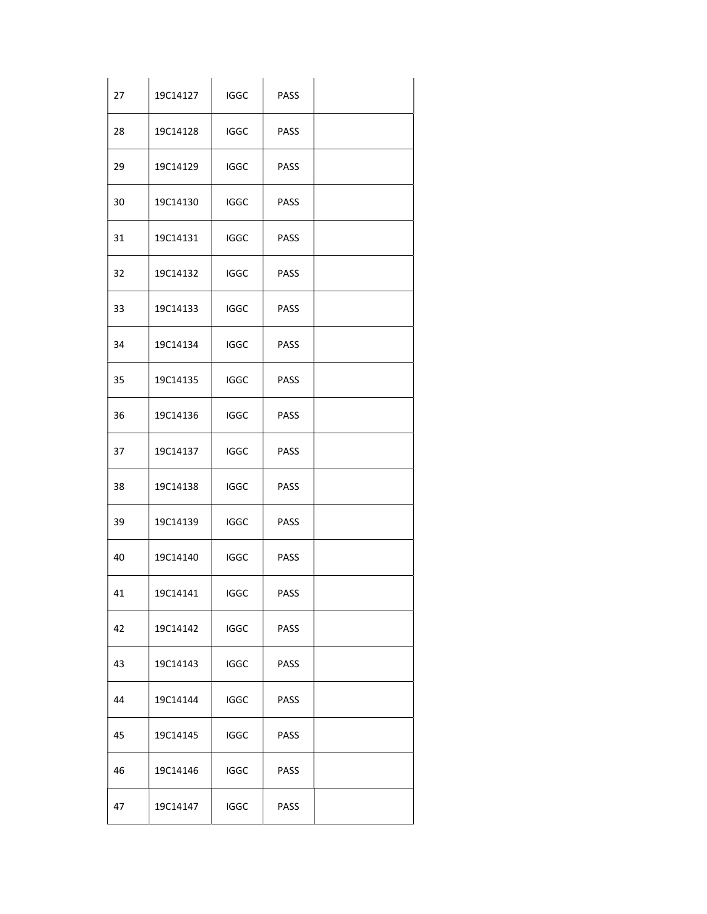| 27 | 19C14127 | <b>IGGC</b> | PASS |  |
|----|----------|-------------|------|--|
| 28 | 19C14128 | <b>IGGC</b> | PASS |  |
| 29 | 19C14129 | <b>IGGC</b> | PASS |  |
| 30 | 19C14130 | <b>IGGC</b> | PASS |  |
| 31 | 19C14131 | <b>IGGC</b> | PASS |  |
| 32 | 19C14132 | <b>IGGC</b> | PASS |  |
| 33 | 19C14133 | <b>IGGC</b> | PASS |  |
| 34 | 19C14134 | <b>IGGC</b> | PASS |  |
| 35 | 19C14135 | <b>IGGC</b> | PASS |  |
| 36 | 19C14136 | <b>IGGC</b> | PASS |  |
| 37 | 19C14137 | <b>IGGC</b> | PASS |  |
| 38 | 19C14138 | <b>IGGC</b> | PASS |  |
| 39 | 19C14139 | <b>IGGC</b> | PASS |  |
| 40 | 19C14140 | <b>IGGC</b> | PASS |  |
| 41 | 19C14141 | IGGC        | PASS |  |
| 42 | 19C14142 | IGGC        | PASS |  |
| 43 | 19C14143 | <b>IGGC</b> | PASS |  |
| 44 | 19C14144 | IGGC        | PASS |  |
| 45 | 19C14145 | IGGC        | PASS |  |
| 46 | 19C14146 | <b>IGGC</b> | PASS |  |
| 47 | 19C14147 | IGGC        | PASS |  |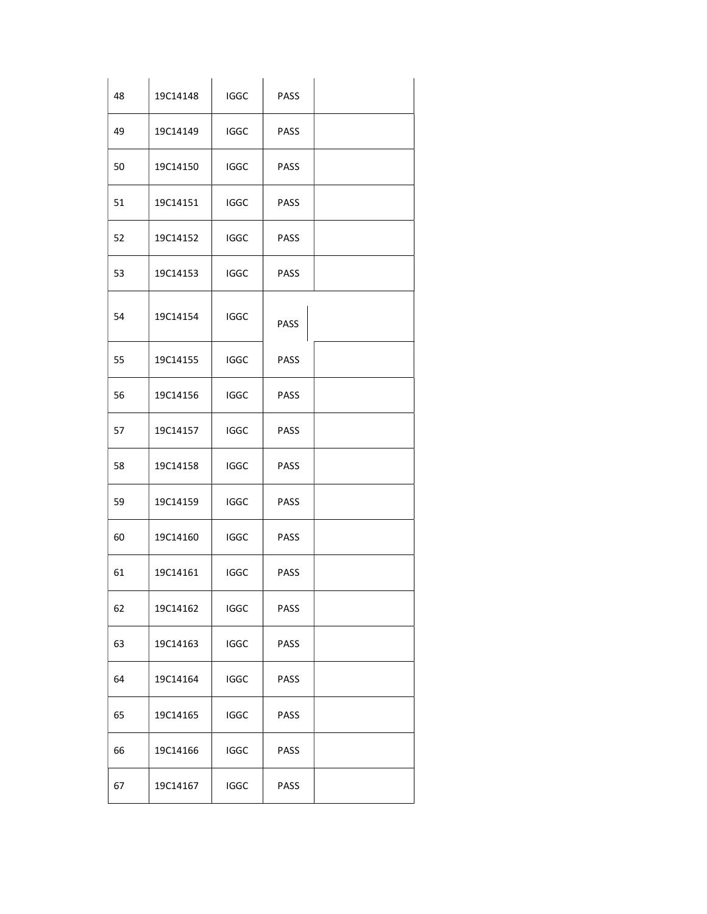| 48 | 19C14148 | <b>IGGC</b> | PASS        |  |
|----|----------|-------------|-------------|--|
| 49 | 19C14149 | <b>IGGC</b> | PASS        |  |
| 50 | 19C14150 | <b>IGGC</b> | PASS        |  |
| 51 | 19C14151 | <b>IGGC</b> | PASS        |  |
| 52 | 19C14152 | <b>IGGC</b> | PASS        |  |
| 53 | 19C14153 | <b>IGGC</b> | PASS        |  |
| 54 | 19C14154 | <b>IGGC</b> | PASS        |  |
| 55 | 19C14155 | <b>IGGC</b> | PASS        |  |
| 56 | 19C14156 | <b>IGGC</b> | PASS        |  |
| 57 | 19C14157 | <b>IGGC</b> | PASS        |  |
| 58 | 19C14158 | <b>IGGC</b> | PASS        |  |
| 59 | 19C14159 | <b>IGGC</b> | PASS        |  |
| 60 | 19C14160 | <b>IGGC</b> | PASS        |  |
| 61 | 19C14161 | <b>IGGC</b> | PASS        |  |
| 62 | 19C14162 | IGGC        | PASS        |  |
| 63 | 19C14163 | <b>IGGC</b> | PASS        |  |
| 64 | 19C14164 | IGGC        | PASS        |  |
| 65 | 19C14165 | <b>IGGC</b> | <b>PASS</b> |  |
| 66 | 19C14166 | IGGC        | PASS        |  |
| 67 | 19C14167 | <b>IGGC</b> | PASS        |  |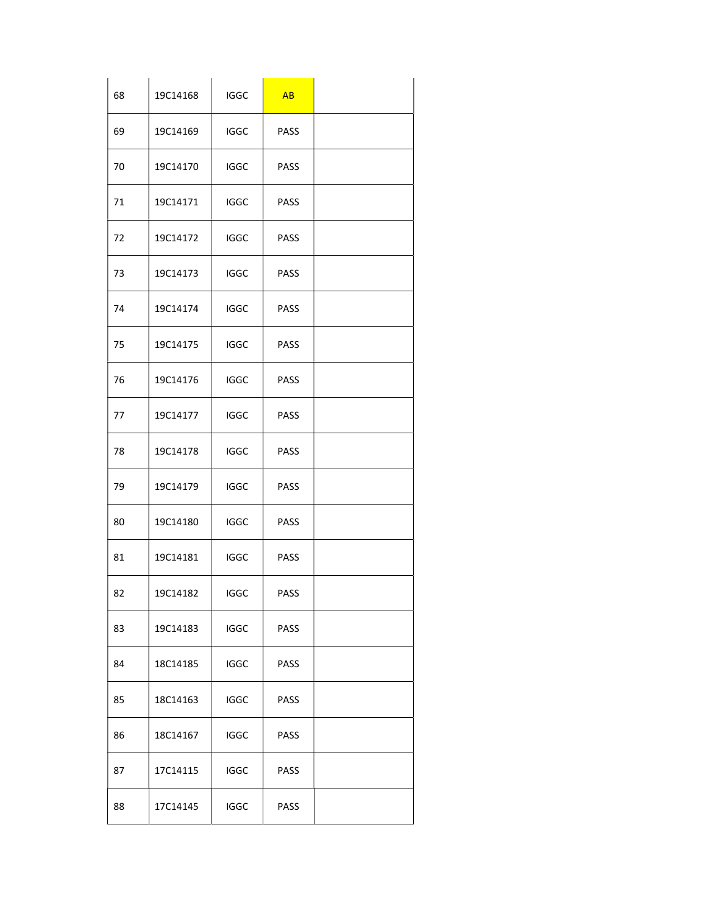| 68 | 19C14168 | <b>IGGC</b> | AB          |  |
|----|----------|-------------|-------------|--|
| 69 | 19C14169 | <b>IGGC</b> | PASS        |  |
| 70 | 19C14170 | <b>IGGC</b> | <b>PASS</b> |  |
| 71 | 19C14171 | <b>IGGC</b> | PASS        |  |
| 72 | 19C14172 | <b>IGGC</b> | PASS        |  |
| 73 | 19C14173 | <b>IGGC</b> | PASS        |  |
| 74 | 19C14174 | <b>IGGC</b> | PASS        |  |
| 75 | 19C14175 | <b>IGGC</b> | PASS        |  |
| 76 | 19C14176 | <b>IGGC</b> | PASS        |  |
| 77 | 19C14177 | <b>IGGC</b> | PASS        |  |
| 78 | 19C14178 | <b>IGGC</b> | PASS        |  |
| 79 | 19C14179 | <b>IGGC</b> | PASS        |  |
| 80 | 19C14180 | <b>IGGC</b> | PASS        |  |
| 81 | 19C14181 | <b>IGGC</b> | <b>PASS</b> |  |
| 82 | 19C14182 | <b>IGGC</b> | PASS        |  |
| 83 | 19C14183 | <b>IGGC</b> | PASS        |  |
| 84 | 18C14185 | <b>IGGC</b> | PASS        |  |
| 85 | 18C14163 | <b>IGGC</b> | <b>PASS</b> |  |
| 86 | 18C14167 | <b>IGGC</b> | PASS        |  |
| 87 | 17C14115 | <b>IGGC</b> | <b>PASS</b> |  |
| 88 | 17C14145 | <b>IGGC</b> | PASS        |  |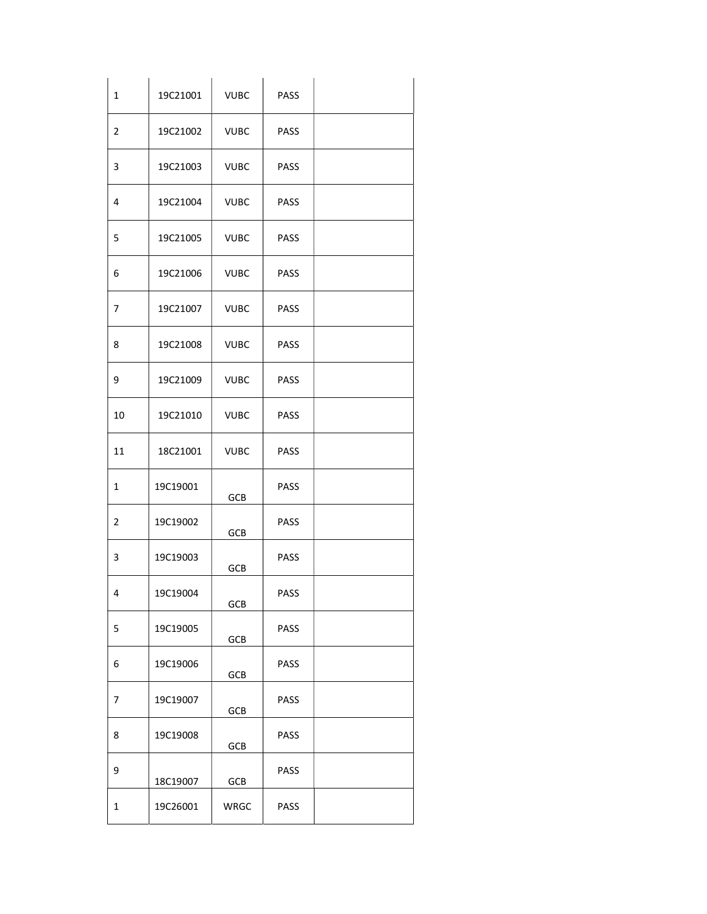| $\mathbf 1$             | 19C21001 | <b>VUBC</b> | PASS |  |
|-------------------------|----------|-------------|------|--|
| $\overline{2}$          | 19C21002 | <b>VUBC</b> | PASS |  |
| $\mathbf{3}$            | 19C21003 | <b>VUBC</b> | PASS |  |
| 4                       | 19C21004 | <b>VUBC</b> | PASS |  |
| 5                       | 19C21005 | <b>VUBC</b> | PASS |  |
| 6                       | 19C21006 | <b>VUBC</b> | PASS |  |
| $\overline{7}$          | 19C21007 | <b>VUBC</b> | PASS |  |
| 8                       | 19C21008 | <b>VUBC</b> | PASS |  |
| 9                       | 19C21009 | <b>VUBC</b> | PASS |  |
| 10                      | 19C21010 | <b>VUBC</b> | PASS |  |
| 11                      | 18C21001 | <b>VUBC</b> | PASS |  |
| $\mathbf{1}$            | 19C19001 | GCB         | PASS |  |
| $\overline{2}$          | 19C19002 | GCB         | PASS |  |
| 3                       | 19C19003 | GCB         | PASS |  |
| $\overline{\mathbf{4}}$ | 19C19004 | GCB         | PASS |  |
| 5                       | 19C19005 | GCB         | PASS |  |
| 6                       | 19C19006 | GCB         | PASS |  |
| $\overline{7}$          | 19C19007 | GCB         | PASS |  |
| 8                       | 19C19008 | GCB         | PASS |  |
| 9                       | 18C19007 | GCB         | PASS |  |
| $\mathbf 1$             | 19C26001 | WRGC        | PASS |  |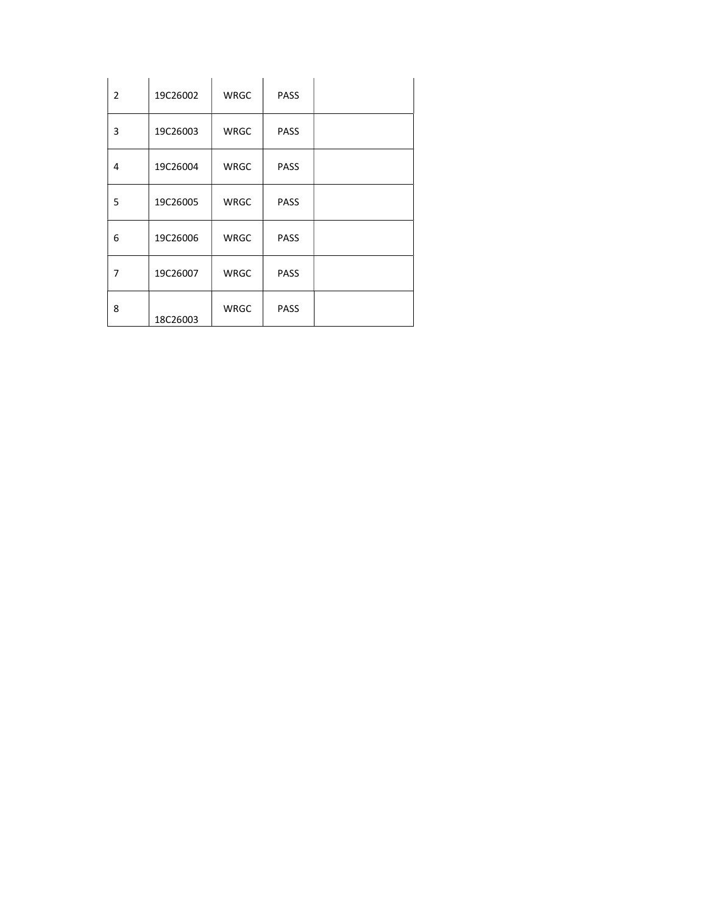| $\overline{2}$ | 19C26002 | WRGC | <b>PASS</b> |  |
|----------------|----------|------|-------------|--|
| 3              | 19C26003 | WRGC | PASS        |  |
| 4              | 19C26004 | WRGC | <b>PASS</b> |  |
| 5              | 19C26005 | WRGC | PASS        |  |
| 6              | 19C26006 | WRGC | <b>PASS</b> |  |
| $\overline{7}$ | 19C26007 | WRGC | <b>PASS</b> |  |
| 8              | 18C26003 | WRGC | PASS        |  |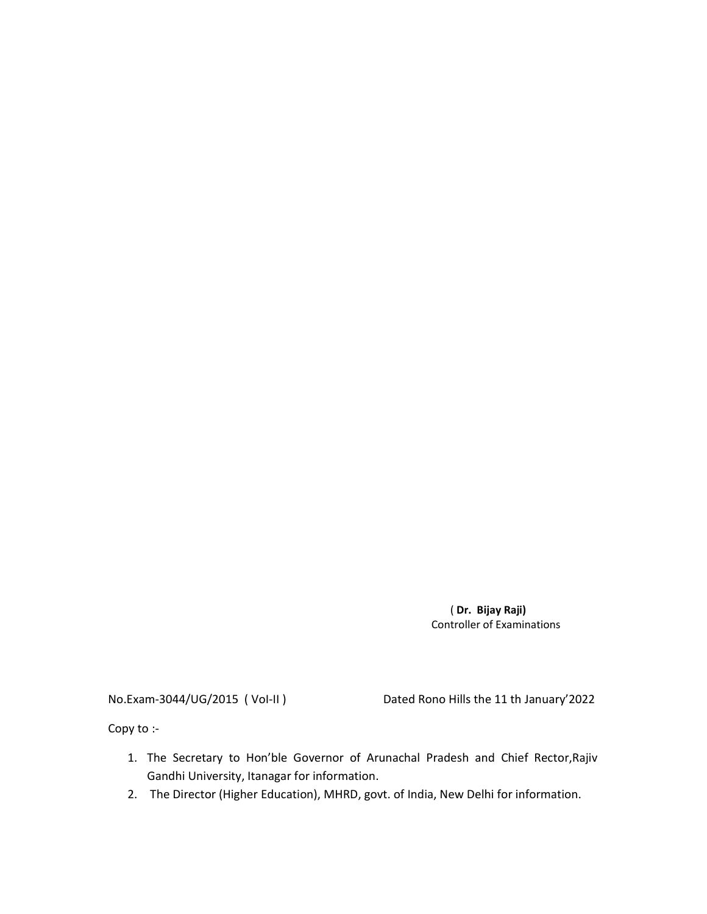( Dr. Bijay Raji) Controller of Examinations

No.Exam-3044/UG/2015 ( VoI-II ) Dated Rono Hills the 11 th January'2022

Copy to :-

- 1. The Secretary to Hon'ble Governor of Arunachal Pradesh and Chief Rector,Rajiv Gandhi University, Itanagar for information.
- 2. The Director (Higher Education), MHRD, govt. of India, New Delhi for information.